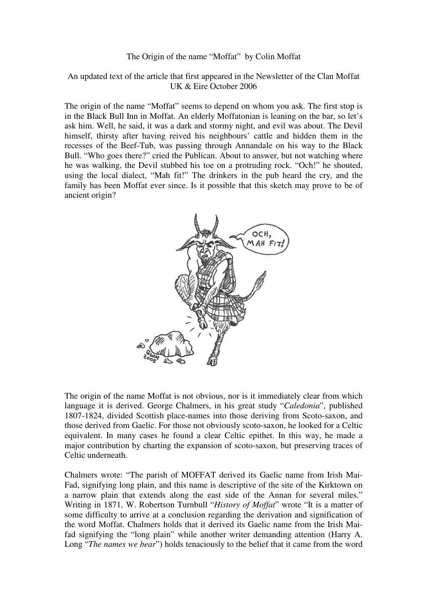## The Origin of the name "Moffat" by Colin Moffat

## An updated text of the article that first appeared in the Newsletter of the Clan Moffat UK & Eire October 2006

The origin of the name "Moffat" seems to depend on whom you ask. The first stop is in the Black Bull Inn in Moffat. An elderly Moffatonian is leaning on the bar, so let's ask him. Well, he said, it was a dark and stormy night, and evil was about. The Devil himself, thirsty after having reived his neighbours' cattle and hidden them in the recesses of the Beef-Tub, was passing through Annandale on his way to the Black Bull. "Who goes there?" cried the Publican. About to answer, but not watching where he was walking, the Devil stubbed his toe on a protruding rock. "Och!" he shouted, using the local dialect, "Mah fit!" The drinkers in the pub heard the cry, and the family has been Moffat ever since. Is it possible that this sketch may prove to be of ancient origin?



The origin of the name Moffat is not obvious, nor is it immediately clear from which language it is derived. George Chalmers, in his great study "*Caledonia*", published 1807-1824, divided Scottish place-names into those deriving from Scoto-saxon, and those derived from Gaelic. For those not obviously scoto-saxon, he looked for a Celtic equivalent. In many cases he found a clear Celtic epithet. In this way, he made a major contribution by charting the expansion of scoto-saxon, but preserving traces of Celtic underneath.

Chalmers wrote: "The parish of MOFFAT derived its Gaelic name from Irish Mai-Fad, signifying long plain, and this name is descriptive of the site of the Kirktown on a narrow plain that extends along the east side of the Annan for several miles." Writing in 1871, W. Robertson Turnbull "*History of Moffat*" wrote "It is a matter of some difficulty to arrive at a conclusion regarding the derivation and signification of the word Moffat. Chalmers holds that it derived its Gaelic name from the Irish Maifad signifying the "long plain" while another writer demanding attention (Harry A. Long "*The names we bear*") holds tenaciously to the belief that it came from the word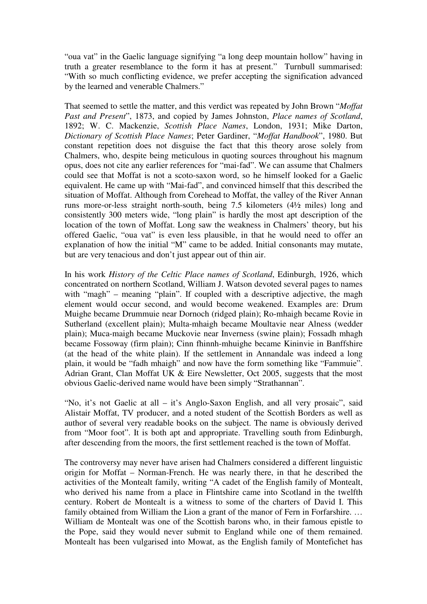"oua vat" in the Gaelic language signifying "a long deep mountain hollow" having in truth a greater resemblance to the form it has at present." Turnbull summarised: "With so much conflicting evidence, we prefer accepting the signification advanced by the learned and venerable Chalmers."

That seemed to settle the matter, and this verdict was repeated by John Brown "*Moffat Past and Present*", 1873, and copied by James Johnston, *Place names of Scotland*, 1892; W. C. Mackenzie, *Scottish Place Names*, London, 1931; Mike Darton, *Dictionary of Scottish Place Names*; Peter Gardiner, "*Moffat Handbook*", 1980. But constant repetition does not disguise the fact that this theory arose solely from Chalmers, who, despite being meticulous in quoting sources throughout his magnum opus, does not cite any earlier references for "mai-fad". We can assume that Chalmers could see that Moffat is not a scoto-saxon word, so he himself looked for a Gaelic equivalent. He came up with "Mai-fad", and convinced himself that this described the situation of Moffat. Although from Corehead to Moffat, the valley of the River Annan runs more-or-less straight north-south, being 7.5 kilometers (4½ miles) long and consistently 300 meters wide, "long plain" is hardly the most apt description of the location of the town of Moffat. Long saw the weakness in Chalmers' theory, but his offered Gaelic, "oua vat" is even less plausible, in that he would need to offer an explanation of how the initial "M" came to be added. Initial consonants may mutate, but are very tenacious and don't just appear out of thin air.

In his work *History of the Celtic Place names of Scotland*, Edinburgh, 1926, which concentrated on northern Scotland, William J. Watson devoted several pages to names with "magh" – meaning "plain". If coupled with a descriptive adjective, the magh element would occur second, and would become weakened. Examples are: Drum Muighe became Drummuie near Dornoch (ridged plain); Ro-mhaigh became Rovie in Sutherland (excellent plain); Multa-mhaigh became Moultavie near Alness (wedder plain); Muca-maigh became Muckovie near Inverness (swine plain); Fossadh mhagh became Fossoway (firm plain); Cinn fhinnh-mhuighe became Kininvie in Banffshire (at the head of the white plain). If the settlement in Annandale was indeed a long plain, it would be "fadh mhaigh" and now have the form something like "Fammuie". Adrian Grant, Clan Moffat UK & Eire Newsletter, Oct 2005, suggests that the most obvious Gaelic-derived name would have been simply "Strathannan".

"No, it's not Gaelic at all – it's Anglo-Saxon English, and all very prosaic", said Alistair Moffat, TV producer, and a noted student of the Scottish Borders as well as author of several very readable books on the subject. The name is obviously derived from "Moor foot". It is both apt and appropriate. Travelling south from Edinburgh, after descending from the moors, the first settlement reached is the town of Moffat.

The controversy may never have arisen had Chalmers considered a different linguistic origin for Moffat – Norman-French. He was nearly there, in that he described the activities of the Montealt family, writing "A cadet of the English family of Montealt, who derived his name from a place in Flintshire came into Scotland in the twelfth century. Robert de Montealt is a witness to some of the charters of David I. This family obtained from William the Lion a grant of the manor of Fern in Forfarshire... William de Montealt was one of the Scottish barons who, in their famous epistle to the Pope, said they would never submit to England while one of them remained. Montealt has been vulgarised into Mowat, as the English family of Montefichet has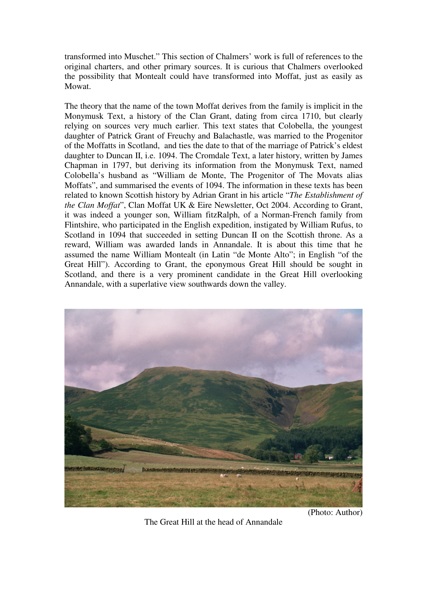transformed into Muschet." This section of Chalmers' work is full of references to the original charters, and other primary sources. It is curious that Chalmers overlooked the possibility that Montealt could have transformed into Moffat, just as easily as Mowat.

The theory that the name of the town Moffat derives from the family is implicit in the Monymusk Text, a history of the Clan Grant, dating from circa 1710, but clearly relying on sources very much earlier. This text states that Colobella, the youngest daughter of Patrick Grant of Freuchy and Balachastle, was married to the Progenitor of the Moffatts in Scotland, and ties the date to that of the marriage of Patrick's eldest daughter to Duncan II, i.e. 1094. The Cromdale Text, a later history, written by James Chapman in 1797, but deriving its information from the Monymusk Text, named Colobella's husband as "William de Monte, The Progenitor of The Movats alias Moffats", and summarised the events of 1094. The information in these texts has been related to known Scottish history by Adrian Grant in his article "*The Establishment of the Clan Moffat*", Clan Moffat UK & Eire Newsletter, Oct 2004. According to Grant, it was indeed a younger son, William fitzRalph, of a Norman-French family from Flintshire, who participated in the English expedition, instigated by William Rufus, to Scotland in 1094 that succeeded in setting Duncan II on the Scottish throne. As a reward, William was awarded lands in Annandale. It is about this time that he assumed the name William Montealt (in Latin "de Monte Alto"; in English "of the Great Hill"). According to Grant, the eponymous Great Hill should be sought in Scotland, and there is a very prominent candidate in the Great Hill overlooking Annandale, with a superlative view southwards down the valley.



The Great Hill at the head of Annandale